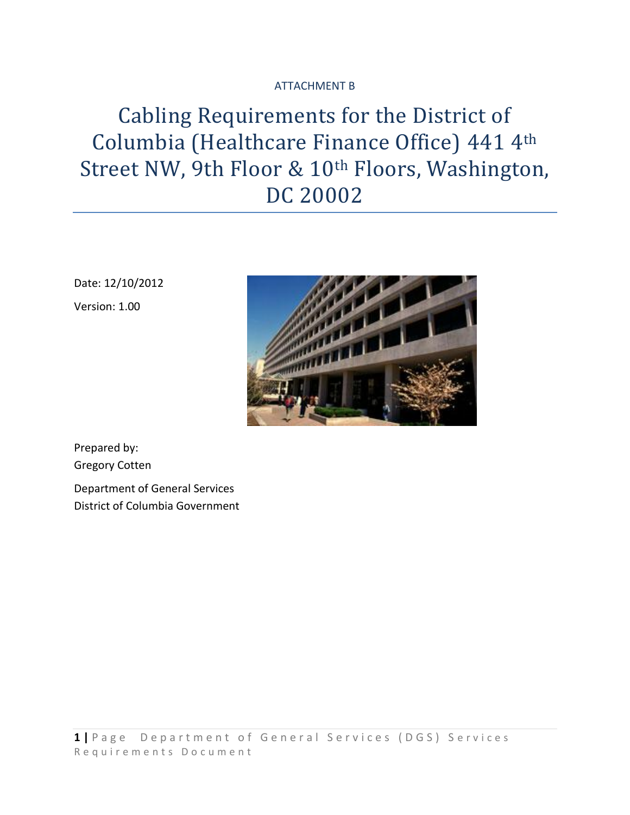## ATTACHMENT B

# Cabling Requirements for the District of Columbia (Healthcare Finance Office) 441 4th Street NW, 9th Floor & 10th Floors, Washington, DC 20002

Date: 12/10/2012 Version: 1.00



Prepared by: Gregory Cotten

Department of General Services District of Columbia Government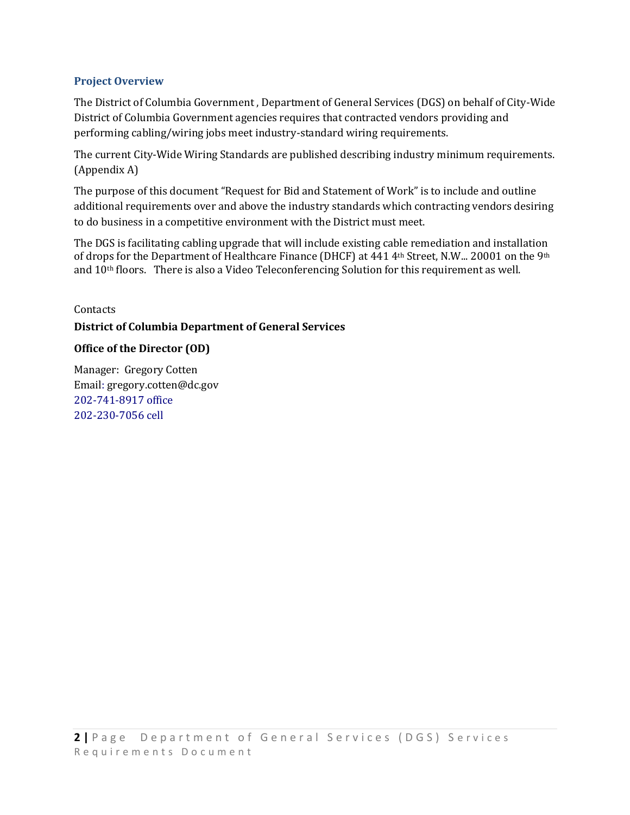#### **Project Overview**

The District of Columbia Government , Department of General Services (DGS) on behalf of City-Wide District of Columbia Government agencies requires that contracted vendors providing and performing cabling/wiring jobs meet industry-standard wiring requirements.

The current City-Wide Wiring Standards are published describing industry minimum requirements. (Appendix A)

The purpose of this document "Request for Bid and Statement of Work" is to include and outline additional requirements over and above the industry standards which contracting vendors desiring to do business in a competitive environment with the District must meet.

The DGS is facilitating cabling upgrade that will include existing cable remediation and installation of drops for the Department of Healthcare Finance (DHCF) at 441 4th Street, N.W... 20001 on the 9th and 10th floors. There is also a Video Teleconferencing Solution for this requirement as well.

# Contacts **District of Columbia Department of General Services**

#### **Office of the Director (OD)**

Manager: Gregory Cotten Email: gregory.cotten@dc.gov 202-741-8917 office 202-230-7056 cell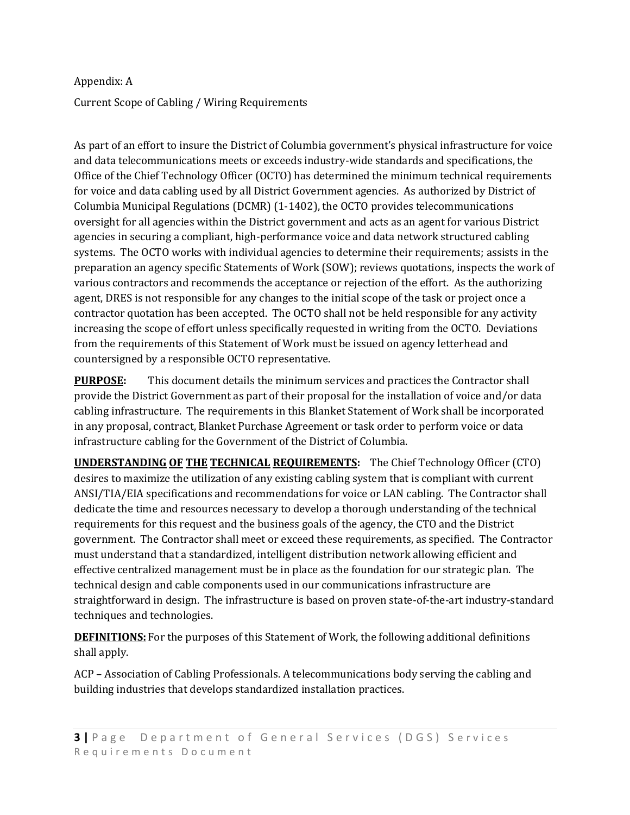#### Appendix: A

Current Scope of Cabling / Wiring Requirements

As part of an effort to insure the District of Columbia government's physical infrastructure for voice and data telecommunications meets or exceeds industry-wide standards and specifications, the Office of the Chief Technology Officer (OCTO) has determined the minimum technical requirements for voice and data cabling used by all District Government agencies. As authorized by District of Columbia Municipal Regulations (DCMR) (1-1402), the OCTO provides telecommunications oversight for all agencies within the District government and acts as an agent for various District agencies in securing a compliant, high-performance voice and data network structured cabling systems. The OCTO works with individual agencies to determine their requirements; assists in the preparation an agency specific Statements of Work (SOW); reviews quotations, inspects the work of various contractors and recommends the acceptance or rejection of the effort. As the authorizing agent, DRES is not responsible for any changes to the initial scope of the task or project once a contractor quotation has been accepted. The OCTO shall not be held responsible for any activity increasing the scope of effort unless specifically requested in writing from the OCTO. Deviations from the requirements of this Statement of Work must be issued on agency letterhead and countersigned by a responsible OCTO representative.

**PURPOSE:** This document details the minimum services and practices the Contractor shall provide the District Government as part of their proposal for the installation of voice and/or data cabling infrastructure. The requirements in this Blanket Statement of Work shall be incorporated in any proposal, contract, Blanket Purchase Agreement or task order to perform voice or data infrastructure cabling for the Government of the District of Columbia.

**UNDERSTANDING OF THE TECHNICAL REQUIREMENTS:** The Chief Technology Officer (CTO) desires to maximize the utilization of any existing cabling system that is compliant with current ANSI/TIA/EIA specifications and recommendations for voice or LAN cabling. The Contractor shall dedicate the time and resources necessary to develop a thorough understanding of the technical requirements for this request and the business goals of the agency, the CTO and the District government. The Contractor shall meet or exceed these requirements, as specified. The Contractor must understand that a standardized, intelligent distribution network allowing efficient and effective centralized management must be in place as the foundation for our strategic plan. The technical design and cable components used in our communications infrastructure are straightforward in design. The infrastructure is based on proven state-of-the-art industry-standard techniques and technologies.

**DEFINITIONS:** For the purposes of this Statement of Work, the following additional definitions shall apply.

ACP – Association of Cabling Professionals. A telecommunications body serving the cabling and building industries that develops standardized installation practices.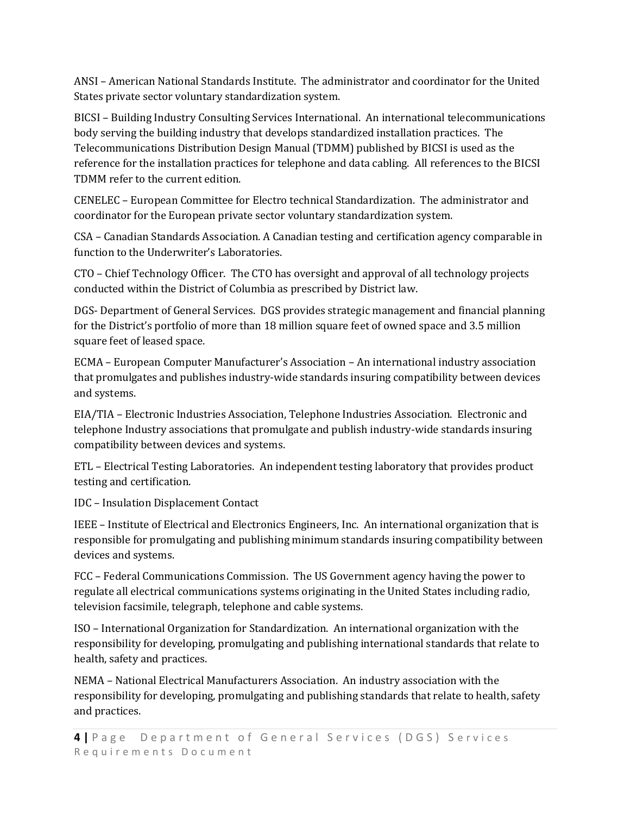ANSI – American National Standards Institute. The administrator and coordinator for the United States private sector voluntary standardization system.

BICSI – Building Industry Consulting Services International. An international telecommunications body serving the building industry that develops standardized installation practices. The Telecommunications Distribution Design Manual (TDMM) published by BICSI is used as the reference for the installation practices for telephone and data cabling. All references to the BICSI TDMM refer to the current edition.

CENELEC – European Committee for Electro technical Standardization. The administrator and coordinator for the European private sector voluntary standardization system.

CSA – Canadian Standards Association. A Canadian testing and certification agency comparable in function to the Underwriter's Laboratories.

CTO – Chief Technology Officer. The CTO has oversight and approval of all technology projects conducted within the District of Columbia as prescribed by District law.

DGS- Department of General Services. DGS provides strategic management and financial planning for the District's portfolio of more than 18 million square feet of owned space and 3.5 million square feet of leased space.

ECMA – European Computer Manufacturer's Association – An international industry association that promulgates and publishes industry-wide standards insuring compatibility between devices and systems.

EIA/TIA – Electronic Industries Association, Telephone Industries Association. Electronic and telephone Industry associations that promulgate and publish industry-wide standards insuring compatibility between devices and systems.

ETL – Electrical Testing Laboratories. An independent testing laboratory that provides product testing and certification.

IDC – Insulation Displacement Contact

IEEE – Institute of Electrical and Electronics Engineers, Inc. An international organization that is responsible for promulgating and publishing minimum standards insuring compatibility between devices and systems.

FCC – Federal Communications Commission. The US Government agency having the power to regulate all electrical communications systems originating in the United States including radio, television facsimile, telegraph, telephone and cable systems.

ISO – International Organization for Standardization. An international organization with the responsibility for developing, promulgating and publishing international standards that relate to health, safety and practices.

NEMA – National Electrical Manufacturers Association. An industry association with the responsibility for developing, promulgating and publishing standards that relate to health, safety and practices.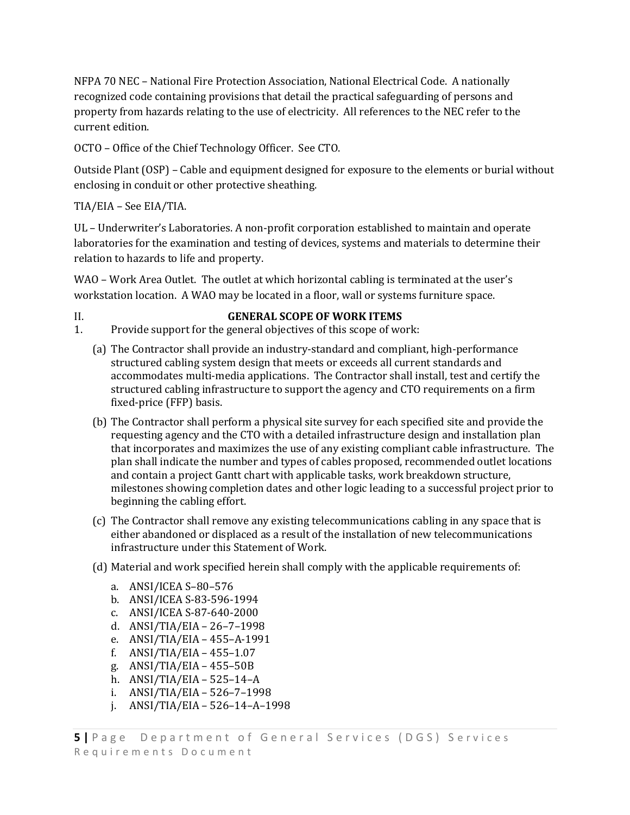NFPA 70 NEC – National Fire Protection Association, National Electrical Code. A nationally recognized code containing provisions that detail the practical safeguarding of persons and property from hazards relating to the use of electricity. All references to the NEC refer to the current edition.

OCTO – Office of the Chief Technology Officer. See CTO.

Outside Plant (OSP) – Cable and equipment designed for exposure to the elements or burial without enclosing in conduit or other protective sheathing.

TIA/EIA – See EIA/TIA.

UL – Underwriter's Laboratories. A non-profit corporation established to maintain and operate laboratories for the examination and testing of devices, systems and materials to determine their relation to hazards to life and property.

WAO – Work Area Outlet. The outlet at which horizontal cabling is terminated at the user's workstation location. A WAO may be located in a floor, wall or systems furniture space.

#### II. **GENERAL SCOPE OF WORK ITEMS**

1. Provide support for the general objectives of this scope of work:

- (a) The Contractor shall provide an industry-standard and compliant, high-performance structured cabling system design that meets or exceeds all current standards and accommodates multi-media applications. The Contractor shall install, test and certify the structured cabling infrastructure to support the agency and CTO requirements on a firm fixed-price (FFP) basis.
- (b) The Contractor shall perform a physical site survey for each specified site and provide the requesting agency and the CTO with a detailed infrastructure design and installation plan that incorporates and maximizes the use of any existing compliant cable infrastructure. The plan shall indicate the number and types of cables proposed, recommended outlet locations and contain a project Gantt chart with applicable tasks, work breakdown structure, milestones showing completion dates and other logic leading to a successful project prior to beginning the cabling effort.
- (c) The Contractor shall remove any existing telecommunications cabling in any space that is either abandoned or displaced as a result of the installation of new telecommunications infrastructure under this Statement of Work.
- (d) Material and work specified herein shall comply with the applicable requirements of:
	- a. ANSI/ICEA S–80–576
	- b. ANSI/ICEA S-83-596-1994
	- c. ANSI/ICEA S-87-640-2000
	- d. ANSI/TIA/EIA 26–7–1998
	- e. ANSI/TIA/EIA 455–A-1991
	- f. ANSI/TIA/EIA 455–1.07
	- g. ANSI/TIA/EIA 455–50B
	- h. ANSI/TIA/EIA 525–14–A
	- i. ANSI/TIA/EIA 526–7–1998
	- j. ANSI/TIA/EIA 526–14–A–1998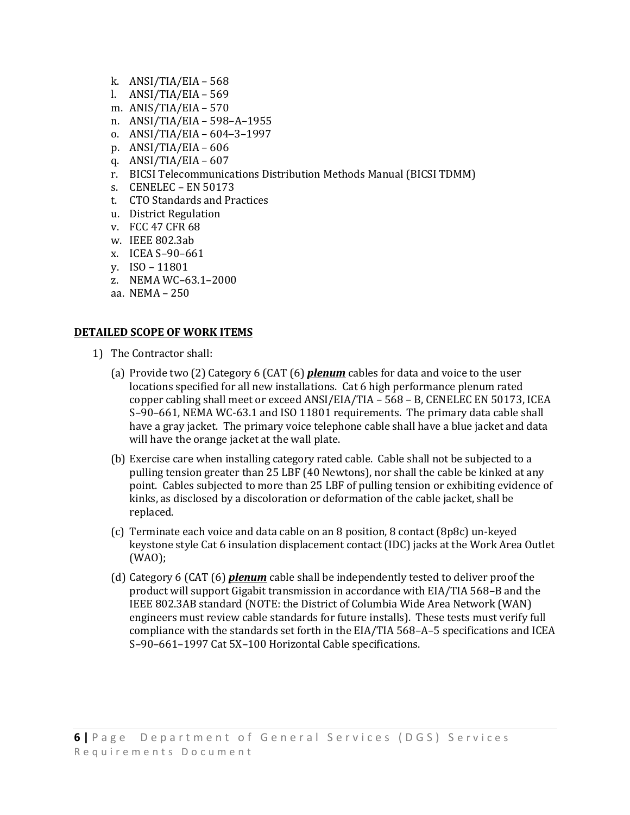- k. ANSI/TIA/EIA 568
- l. ANSI/TIA/EIA 569
- m. ANIS/TIA/EIA 570
- n. ANSI/TIA/EIA 598–A–1955
- o. ANSI/TIA/EIA 604–3–1997
- p. ANSI/TIA/EIA 606
- q.  $ANSI/TIA/EIA 607$
- r. BICSI Telecommunications Distribution Methods Manual (BICSI TDMM)
- s. CENELEC EN 50173
- t. CTO Standards and Practices
- u. District Regulation
- v. FCC 47 CFR 68
- w. IEEE 802.3ab
- x. ICEA S–90–661
- y. ISO 11801
- z. NEMA WC–63.1–2000
- aa. NEMA 250

#### **DETAILED SCOPE OF WORK ITEMS**

- 1) The Contractor shall:
	- (a) Provide two (2) Category 6 (CAT (6) *plenum* cables for data and voice to the user locations specified for all new installations. Cat 6 high performance plenum rated copper cabling shall meet or exceed ANSI/EIA/TIA – 568 – B, CENELEC EN 50173, ICEA S–90–661, NEMA WC-63.1 and ISO 11801 requirements. The primary data cable shall have a gray jacket. The primary voice telephone cable shall have a blue jacket and data will have the orange jacket at the wall plate.
	- (b) Exercise care when installing category rated cable. Cable shall not be subjected to a pulling tension greater than 25 LBF (40 Newtons), nor shall the cable be kinked at any point. Cables subjected to more than 25 LBF of pulling tension or exhibiting evidence of kinks, as disclosed by a discoloration or deformation of the cable jacket, shall be replaced.
	- (c) Terminate each voice and data cable on an 8 position, 8 contact (8p8c) un-keyed keystone style Cat 6 insulation displacement contact (IDC) jacks at the Work Area Outlet (WAO);
	- (d) Category 6 (CAT (6) *plenum* cable shall be independently tested to deliver proof the product will support Gigabit transmission in accordance with EIA/TIA 568–B and the IEEE 802.3AB standard (NOTE: the District of Columbia Wide Area Network (WAN) engineers must review cable standards for future installs). These tests must verify full compliance with the standards set forth in the EIA/TIA 568–A–5 specifications and ICEA S–90–661–1997 Cat 5X–100 Horizontal Cable specifications.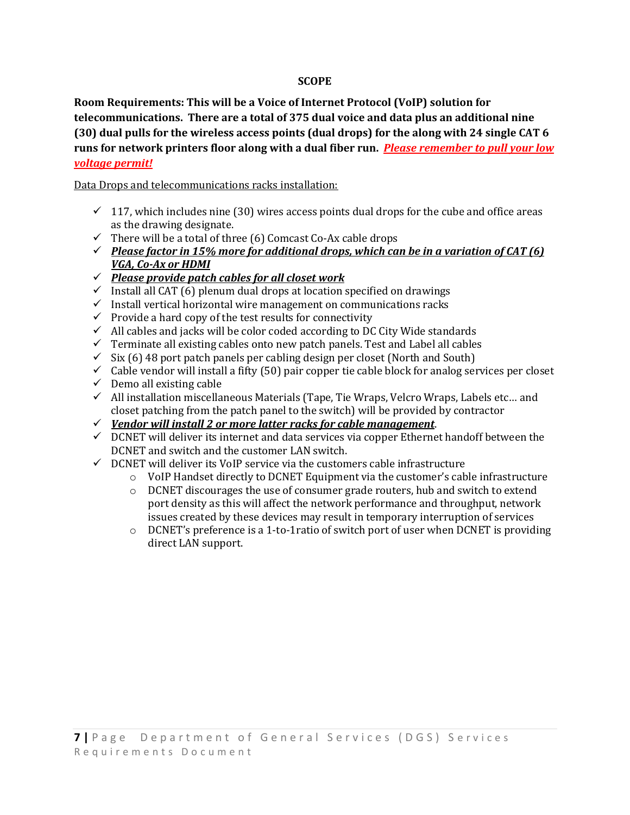#### **SCOPE**

**Room Requirements: This will be a Voice of Internet Protocol (VoIP) solution for telecommunications. There are a total of 375 dual voice and data plus an additional nine (30) dual pulls for the wireless access points (dual drops) for the along with 24 single CAT 6 runs for network printers floor along with a dual fiber run.** *Please remember to pull your low voltage permit!*

Data Drops and telecommunications racks installation:

- $\checkmark$  117, which includes nine (30) wires access points dual drops for the cube and office areas as the drawing designate.
- $\checkmark$  There will be a total of three (6) Comcast Co-Ax cable drops
- *Please factor in 15% more for additional drops, which can be in a variation of CAT (6) VGA, Co-Ax or HDMI*
- *Please provide patch cables for all closet work*
- $\checkmark$  Install all CAT (6) plenum dual drops at location specified on drawings
- $\checkmark$  Install vertical horizontal wire management on communications racks
- $\checkmark$  Provide a hard copy of the test results for connectivity
- $\checkmark$  All cables and jacks will be color coded according to DC City Wide standards
- $\checkmark$  Terminate all existing cables onto new patch panels. Test and Label all cables
- $\checkmark$  Six (6) 48 port patch panels per cabling design per closet (North and South)
- $\checkmark$  Cable vendor will install a fifty (50) pair copper tie cable block for analog services per closet
- $\checkmark$  Demo all existing cable
- $\checkmark$  All installation miscellaneous Materials (Tape, Tie Wraps, Velcro Wraps, Labels etc... and closet patching from the patch panel to the switch) will be provided by contractor
- *Vendor will install 2 or more latter racks for cable management*.
- $\checkmark$  DCNET will deliver its internet and data services via copper Ethernet handoff between the DCNET and switch and the customer LAN switch.
- $\checkmark$  DCNET will deliver its VoIP service via the customers cable infrastructure
	- o VoIP Handset directly to DCNET Equipment via the customer's cable infrastructure
	- $\circ$  DCNET discourages the use of consumer grade routers, hub and switch to extend port density as this will affect the network performance and throughput, network issues created by these devices may result in temporary interruption of services
	- $\circ$  DCNET's preference is a 1-to-1ratio of switch port of user when DCNET is providing direct LAN support.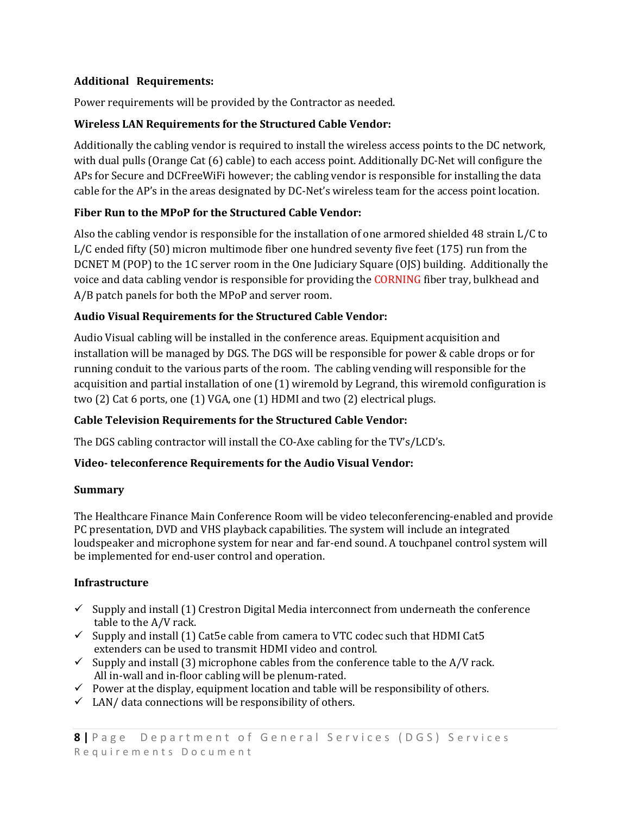## **Additional Requirements:**

Power requirements will be provided by the Contractor as needed.

## **Wireless LAN Requirements for the Structured Cable Vendor:**

Additionally the cabling vendor is required to install the wireless access points to the DC network, with dual pulls (Orange Cat (6) cable) to each access point. Additionally DC-Net will configure the APs for Secure and DCFreeWiFi however; the cabling vendor is responsible for installing the data cable for the AP's in the areas designated by DC-Net's wireless team for the access point location.

# **Fiber Run to the MPoP for the Structured Cable Vendor:**

Also the cabling vendor is responsible for the installation of one armored shielded 48 strain L/C to L/C ended fifty (50) micron multimode fiber one hundred seventy five feet (175) run from the DCNET M (POP) to the 1C server room in the One Judiciary Square (OJS) building. Additionally the voice and data cabling vendor is responsible for providing the CORNING fiber tray, bulkhead and A/B patch panels for both the MPoP and server room.

# **Audio Visual Requirements for the Structured Cable Vendor:**

Audio Visual cabling will be installed in the conference areas. Equipment acquisition and installation will be managed by DGS. The DGS will be responsible for power & cable drops or for running conduit to the various parts of the room. The cabling vending will responsible for the acquisition and partial installation of one (1) wiremold by Legrand, this wiremold configuration is two (2) Cat 6 ports, one (1) VGA, one (1) HDMI and two (2) electrical plugs.

# **Cable Television Requirements for the Structured Cable Vendor:**

The DGS cabling contractor will install the CO-Axe cabling for the TV's/LCD's.

# **Video- teleconference Requirements for the Audio Visual Vendor:**

#### **Summary**

The Healthcare Finance Main Conference Room will be video teleconferencing-enabled and provide PC presentation, DVD and VHS playback capabilities. The system will include an integrated loudspeaker and microphone system for near and far-end sound. A touchpanel control system will be implemented for end-user control and operation.

# **Infrastructure**

- $\checkmark$  Supply and install (1) Crestron Digital Media interconnect from underneath the conference table to the A/V rack.
- $\checkmark$  Supply and install (1) Cat5e cable from camera to VTC codec such that HDMI Cat5 extenders can be used to transmit HDMI video and control.
- $\checkmark$  Supply and install (3) microphone cables from the conference table to the A/V rack. All in-wall and in-floor cabling will be plenum-rated.
- $\checkmark$  Power at the display, equipment location and table will be responsibility of others.
- $\checkmark$  LAN/ data connections will be responsibility of others.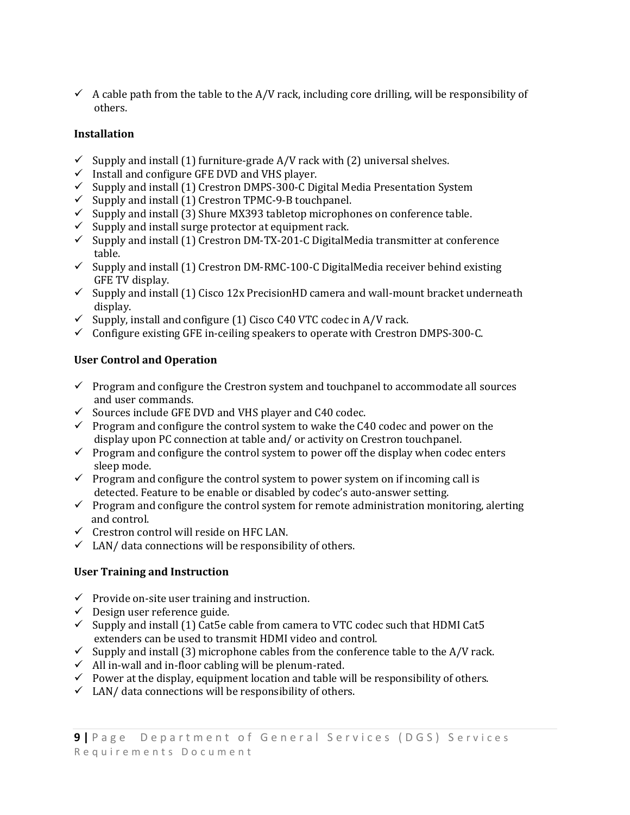$\checkmark$  A cable path from the table to the A/V rack, including core drilling, will be responsibility of others.

# **Installation**

- $\checkmark$  Supply and install (1) furniture-grade A/V rack with (2) universal shelves.
- $\checkmark$  Install and configure GFE DVD and VHS player.
- $\checkmark$  Supply and install (1) Crestron DMPS-300-C Digital Media Presentation System
- $\checkmark$  Supply and install (1) Crestron TPMC-9-B touchpanel.
- $\checkmark$  Supply and install (3) Shure MX393 tabletop microphones on conference table.
- $\checkmark$  Supply and install surge protector at equipment rack.
- $\checkmark$  Supply and install (1) Crestron DM-TX-201-C DigitalMedia transmitter at conference table.
- $\checkmark$  Supply and install (1) Crestron DM-RMC-100-C DigitalMedia receiver behind existing GFE TV display.
- $\checkmark$  Supply and install (1) Cisco 12x PrecisionHD camera and wall-mount bracket underneath display.
- $\checkmark$  Supply, install and configure (1) Cisco C40 VTC codec in A/V rack.
- $\checkmark$  Configure existing GFE in-ceiling speakers to operate with Crestron DMPS-300-C.

# **User Control and Operation**

- $\checkmark$  Program and configure the Crestron system and touchpanel to accommodate all sources and user commands.
- $\checkmark$  Sources include GFE DVD and VHS player and C40 codec.
- $\checkmark$  Program and configure the control system to wake the C40 codec and power on the display upon PC connection at table and/ or activity on Crestron touchpanel.
- $\checkmark$  Program and configure the control system to power off the display when codec enters sleep mode.
- $\checkmark$  Program and configure the control system to power system on if incoming call is detected. Feature to be enable or disabled by codec's auto-answer setting.
- $\checkmark$  Program and configure the control system for remote administration monitoring, alerting and control.
- $\checkmark$  Crestron control will reside on HFC LAN.
- $\checkmark$  LAN/ data connections will be responsibility of others.

# **User Training and Instruction**

- $\checkmark$  Provide on-site user training and instruction.
- $\checkmark$  Design user reference guide.
- $\checkmark$  Supply and install (1) Cat5e cable from camera to VTC codec such that HDMI Cat5 extenders can be used to transmit HDMI video and control.
- $\checkmark$  Supply and install (3) microphone cables from the conference table to the A/V rack.
- $\checkmark$  All in-wall and in-floor cabling will be plenum-rated.
- $\checkmark$  Power at the display, equipment location and table will be responsibility of others.
- $\checkmark$  LAN/ data connections will be responsibility of others.